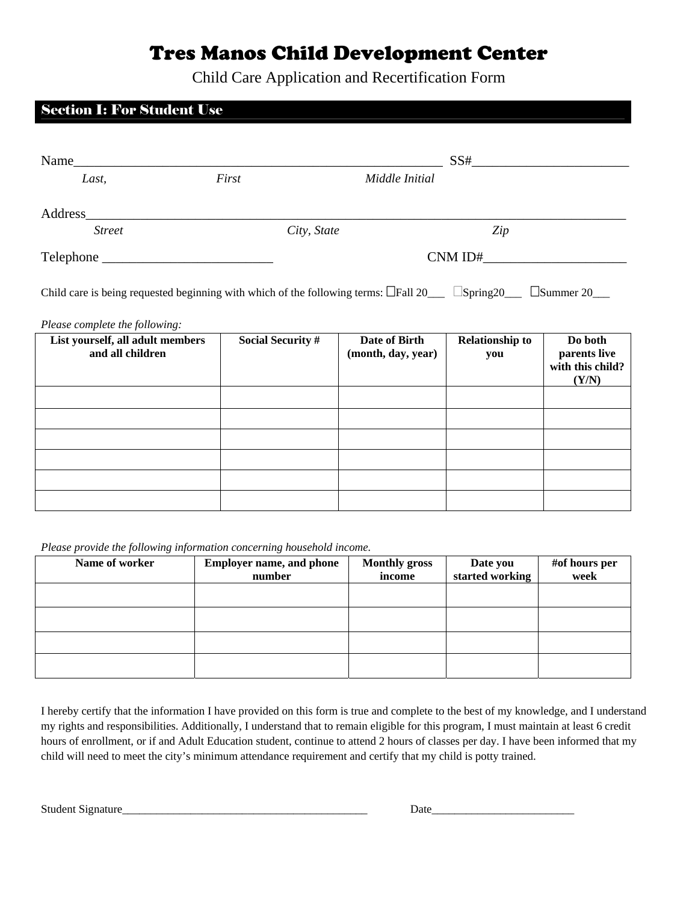## Tres Manos Child Development Center

Child Care Application and Recertification Form

## Section I: For Student Use Name SS<sup>#</sup>  *Last, First Middle Initial*  Address\_\_\_\_\_\_\_\_\_\_\_\_\_\_\_\_\_\_\_\_\_\_\_\_\_\_\_\_\_\_\_\_\_\_\_\_\_\_\_\_\_\_\_\_\_\_\_\_\_\_\_\_\_\_\_\_\_\_\_\_\_\_\_\_\_\_\_\_\_\_\_\_\_\_\_\_\_\_\_ *Street City, State Zip* Telephone \_\_\_\_\_\_\_\_\_\_\_\_\_\_\_\_\_\_\_\_\_\_\_\_\_ CNM ID#\_\_\_\_\_\_\_\_\_\_\_\_\_\_\_\_\_\_\_\_\_ Child care is being requested beginning with which of the following terms:  $\Box$ Fall 20  $\Box$  Spring20  $\Box$  Summer 20 *Please complete the following:*  **List yourself, all adult members and all children Social Security # Date of Birth (month, day, year) Relationship to you Do both parents live with this child? (Y/N)**

*Please provide the following information concerning household income.* 

| Name of worker | <b>Employer name, and phone</b> | <b>Monthly gross</b> | Date you        | #of hours per |
|----------------|---------------------------------|----------------------|-----------------|---------------|
|                | number                          | income               | started working | week          |
|                |                                 |                      |                 |               |
|                |                                 |                      |                 |               |
|                |                                 |                      |                 |               |
|                |                                 |                      |                 |               |
|                |                                 |                      |                 |               |
|                |                                 |                      |                 |               |
|                |                                 |                      |                 |               |

I hereby certify that the information I have provided on this form is true and complete to the best of my knowledge, and I understand my rights and responsibilities. Additionally, I understand that to remain eligible for this program, I must maintain at least 6 credit hours of enrollment, or if and Adult Education student, continue to attend 2 hours of classes per day. I have been informed that my child will need to meet the city's minimum attendance requirement and certify that my child is potty trained.

Student Signature\_\_\_\_\_\_\_\_\_\_\_\_\_\_\_\_\_\_\_\_\_\_\_\_\_\_\_\_\_\_\_\_\_\_\_\_\_\_\_\_\_\_\_ Date\_\_\_\_\_\_\_\_\_\_\_\_\_\_\_\_\_\_\_\_\_\_\_\_\_